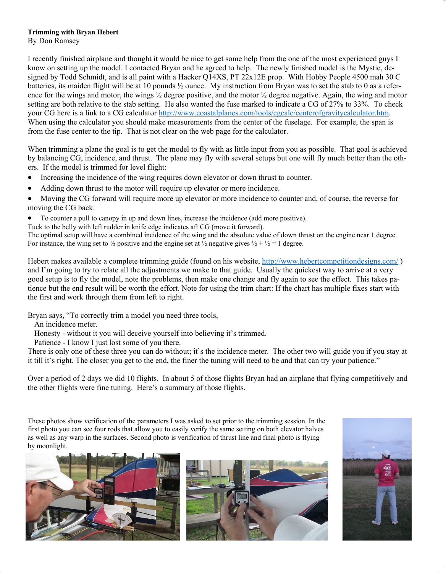## **Trimming with Bryan Hebert**

By Don Ramsey

I recently finished airplane and thought it would be nice to get some help from the one of the most experienced guys I know on setting up the model. I contacted Bryan and he agreed to help. The newly finished model is the Mystic, designed by Todd Schmidt, and is all paint with a Hacker Q14XS, PT 22x12E prop. With Hobby People 4500 mah 30 C batteries, its maiden flight will be at 10 pounds ½ ounce. My instruction from Bryan was to set the stab to 0 as a reference for the wings and motor, the wings  $\frac{1}{2}$  degree positive, and the motor  $\frac{1}{2}$  degree negative. Again, the wing and motor setting are both relative to the stab setting. He also wanted the fuse marked to indicate a CG of 27% to 33%. To check your CG here is a link to a CG calculator h[ttp://www.coastalplanes.com/tools/cgcalc/centerofgravitycalculator.htm.](http://www.coastalplanes.com/tools/cgcalc/centerofgravitycalculator.htm)  When using the calculator you should make measurements from the center of the fuselage. For example, the span is from the fuse center to the tip. That is not clear on the web page for the calculator.

When trimming a plane the goal is to get the model to fly with as little input from you as possible. That goal is achieved by balancing CG, incidence, and thrust. The plane may fly with several setups but one will fly much better than the others. If the model is trimmed for level flight:

- Increasing the incidence of the wing requires down elevator or down thrust to counter.
- Adding down thrust to the motor will require up elevator or more incidence.
- Moving the CG forward will require more up elevator or more incidence to counter and, of course, the reverse for moving the CG back.
- To counter a pull to canopy in up and down lines, increase the incidence (add more positive).

Tuck to the belly with left rudder in knife edge indicates aft CG (move it forward).

The optimal setup will have a combined incidence of the wing and the absolute value of down thrust on the engine near 1 degree. For instance, the wing set to  $\frac{1}{2}$  positive and the engine set at  $\frac{1}{2}$  negative gives  $\frac{1}{2} + \frac{1}{2} = 1$  degree.

Hebert makes available a complete trimming guide (found on his website, h[ttp://www.hebertcompetitiondesigns.com/ \)](http://www.hebertcompetitiondesigns.com/) and I'm going to try to relate all the adjustments we make to that guide. Usually the quickest way to arrive at a very good setup is to fly the model, note the problems, then make one change and fly again to see the effect. This takes patience but the end result will be worth the effort. Note for using the trim chart: If the chart has multiple fixes start with the first and work through them from left to right.

Bryan says, "To correctly trim a model you need three tools,

An incidence meter.

Honesty - without it you will deceive yourself into believing it's trimmed.

Patience - I know I just lost some of you there.

There is only one of these three you can do without; it's the incidence meter. The other two will guide you if you stay at it till it`s right. The closer you get to the end, the finer the tuning will need to be and that can try your patience."

Over a period of 2 days we did 10 flights. In about 5 of those flights Bryan had an airplane that flying competitively and the other flights were fine tuning. Here's a summary of those flights.

These photos show verification of the parameters I was asked to set prior to the trimming session. In the first photo you can see four rods that allow you to easily verify the same setting on both elevator halves as well as any warp in the surfaces. Second photo is verification of thrust line and final photo is flying by moonlight.





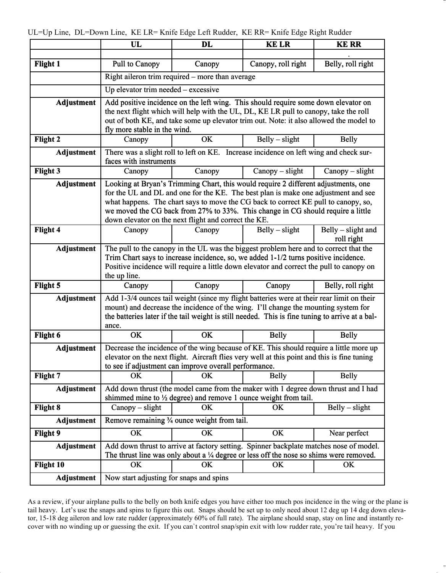|                   | UL                                                                                                                                                                                    | <b>DL</b>                                                                                         | <b>KELR</b>        | <b>KE RR</b>       |
|-------------------|---------------------------------------------------------------------------------------------------------------------------------------------------------------------------------------|---------------------------------------------------------------------------------------------------|--------------------|--------------------|
| <b>Flight 1</b>   | Pull to Canopy                                                                                                                                                                        | Canopy                                                                                            | Canopy, roll right | Belly, roll right  |
|                   | Right aileron trim required – more than average                                                                                                                                       |                                                                                                   |                    |                    |
|                   | Up elevator trim needed $-$ excessive                                                                                                                                                 |                                                                                                   |                    |                    |
|                   |                                                                                                                                                                                       |                                                                                                   |                    |                    |
| <b>Adjustment</b> | Add positive incidence on the left wing. This should require some down elevator on<br>the next flight which will help with the UL, DL, KE LR pull to canopy, take the roll            |                                                                                                   |                    |                    |
|                   | out of both KE, and take some up elevator trim out. Note: it also allowed the model to                                                                                                |                                                                                                   |                    |                    |
|                   | fly more stable in the wind.                                                                                                                                                          |                                                                                                   |                    |                    |
| <b>Flight 2</b>   | Canopy                                                                                                                                                                                | <b>OK</b>                                                                                         | $Belly - slight$   | <b>Belly</b>       |
| <b>Adjustment</b> | There was a slight roll to left on KE. Increase incidence on left wing and check sur-<br>faces with instruments                                                                       |                                                                                                   |                    |                    |
| <b>Flight 3</b>   | Canopy                                                                                                                                                                                | Canopy                                                                                            | $Canopy - slight$  | $Canopy-slight$    |
| <b>Adjustment</b> |                                                                                                                                                                                       |                                                                                                   |                    |                    |
|                   | Looking at Bryan's Trimming Chart, this would require 2 different adjustments, one<br>for the UL and DL and one for the KE. The best plan is make one adjustment and see              |                                                                                                   |                    |                    |
|                   | what happens. The chart says to move the CG back to correct KE pull to canopy, so,                                                                                                    |                                                                                                   |                    |                    |
|                   | we moved the CG back from 27% to 33%. This change in CG should require a little<br>down elevator on the next flight and correct the KE.                                               |                                                                                                   |                    |                    |
| <b>Flight 4</b>   | Canopy                                                                                                                                                                                | Canopy                                                                                            | $Belly - slight$   | Belly – slight and |
|                   |                                                                                                                                                                                       |                                                                                                   |                    | roll right         |
| <b>Adjustment</b> | The pull to the canopy in the UL was the biggest problem here and to correct that the                                                                                                 |                                                                                                   |                    |                    |
|                   | Trim Chart says to increase incidence, so, we added 1-1/2 turns positive incidence.<br>Positive incidence will require a little down elevator and correct the pull to canopy on       |                                                                                                   |                    |                    |
|                   | the up line.                                                                                                                                                                          |                                                                                                   |                    |                    |
| Flight 5          | Canopy                                                                                                                                                                                | Canopy                                                                                            | Canopy             | Belly, roll right  |
| <b>Adjustment</b> |                                                                                                                                                                                       | Add 1-3/4 ounces tail weight (since my flight batteries were at their rear limit on their         |                    |                    |
|                   | mount) and decrease the incidence of the wing. I'll change the mounting system for<br>the batteries later if the tail weight is still needed. This is fine tuning to arrive at a bal- |                                                                                                   |                    |                    |
|                   | ance.                                                                                                                                                                                 |                                                                                                   |                    |                    |
| Flight 6          | OK                                                                                                                                                                                    | OK                                                                                                | <b>Belly</b>       | <b>Belly</b>       |
| <b>Adjustment</b> |                                                                                                                                                                                       | Decrease the incidence of the wing because of KE. This should require a little more up            |                    |                    |
|                   | elevator on the next flight. Aircraft flies very well at this point and this is fine tuning<br>to see if adjustment can improve overall performance.                                  |                                                                                                   |                    |                    |
| Flight 7          | OK                                                                                                                                                                                    | <b>OK</b>                                                                                         | <b>Belly</b>       | Belly              |
|                   |                                                                                                                                                                                       |                                                                                                   |                    |                    |
| <b>Adjustment</b> | Add down thrust (the model came from the maker with 1 degree down thrust and I had<br>shimmed mine to 1/2 degree) and remove 1 ounce weight from tail.                                |                                                                                                   |                    |                    |
| <b>Flight 8</b>   | Canopy - slight                                                                                                                                                                       | <b>OK</b>                                                                                         | OK                 | $Belly - slight$   |
| <b>Adjustment</b> | Remove remaining <sup>3</sup> / <sub>4</sub> ounce weight from tail.                                                                                                                  |                                                                                                   |                    |                    |
| <b>Flight 9</b>   | OK                                                                                                                                                                                    | OK                                                                                                | OK                 | Near perfect       |
| <b>Adjustment</b> |                                                                                                                                                                                       | Add down thrust to arrive at factory setting. Spinner backplate matches nose of model.            |                    |                    |
|                   |                                                                                                                                                                                       | The thrust line was only about a $\frac{1}{4}$ degree or less off the nose so shims were removed. |                    |                    |
| Flight 10         | <b>OK</b>                                                                                                                                                                             | <b>OK</b>                                                                                         | OK                 | OK                 |
| <b>Adjustment</b> | Now start adjusting for snaps and spins                                                                                                                                               |                                                                                                   |                    |                    |

As a review, if your airplane pulls to the belly on both knife edges you have either too much pos incidence in the wing or the plane is tail heavy. Let's use the snaps and spins to figure this out. Snaps should be set up to only need about 12 deg up 14 deg down elevator, 15-18 deg aileron and low rate rudder (approximately 60% of full rate). The airplane should snap, stay on line and instantly recover with no winding up or guessing the exit. If you can`t control snap/spin exit with low rudder rate, you're tail heavy. If you